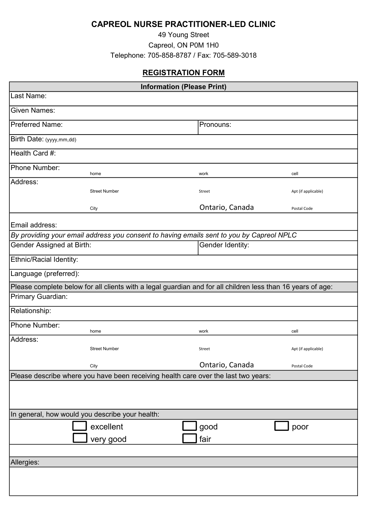## CAPREOL NURSE PRACTITIONER-LED CLINIC

49 Young Street Capreol, ON P0M 1H0 Telephone: 705-858-8787 / Fax: 705-589-3018

## REGISTRATION FORM

| <b>Information (Please Print)</b>                                                  |                                                                                                             |                  |                     |  |
|------------------------------------------------------------------------------------|-------------------------------------------------------------------------------------------------------------|------------------|---------------------|--|
| Last Name:                                                                         |                                                                                                             |                  |                     |  |
| <b>Given Names:</b>                                                                |                                                                                                             |                  |                     |  |
| <b>Preferred Name:</b>                                                             |                                                                                                             | Pronouns:        |                     |  |
| Birth Date: (yyyy,mm,dd)                                                           |                                                                                                             |                  |                     |  |
| Health Card #:                                                                     |                                                                                                             |                  |                     |  |
| Phone Number:                                                                      | home                                                                                                        | work             | cell                |  |
| Address:                                                                           |                                                                                                             |                  |                     |  |
|                                                                                    | <b>Street Number</b>                                                                                        | Street           | Apt (if applicable) |  |
|                                                                                    | City                                                                                                        | Ontario, Canada  | Postal Code         |  |
| Email address:                                                                     |                                                                                                             |                  |                     |  |
|                                                                                    | By providing your email address you consent to having emails sent to you by Capreol NPLC                    |                  |                     |  |
| Gender Assigned at Birth:                                                          |                                                                                                             | Gender Identity: |                     |  |
| Ethnic/Racial Identity:                                                            |                                                                                                             |                  |                     |  |
| Language (preferred):                                                              |                                                                                                             |                  |                     |  |
|                                                                                    | Please complete below for all clients with a legal guardian and for all children less than 16 years of age: |                  |                     |  |
| Primary Guardian:                                                                  |                                                                                                             |                  |                     |  |
| Relationship:                                                                      |                                                                                                             |                  |                     |  |
| Phone Number:                                                                      | home                                                                                                        | work             | cell                |  |
| Address:                                                                           |                                                                                                             |                  |                     |  |
|                                                                                    | <b>Street Number</b>                                                                                        | Street           | Apt (if applicable) |  |
|                                                                                    | City                                                                                                        | Ontario, Canada  | Postal Code         |  |
| Please describe where you have been receiving health care over the last two years: |                                                                                                             |                  |                     |  |
|                                                                                    |                                                                                                             |                  |                     |  |
|                                                                                    | In general, how would you describe your health:                                                             |                  |                     |  |
|                                                                                    |                                                                                                             |                  |                     |  |
|                                                                                    | excellent                                                                                                   | good             | poor                |  |
|                                                                                    | very good                                                                                                   | fair             |                     |  |
| Allergies:                                                                         |                                                                                                             |                  |                     |  |
|                                                                                    |                                                                                                             |                  |                     |  |
|                                                                                    |                                                                                                             |                  |                     |  |
|                                                                                    |                                                                                                             |                  |                     |  |